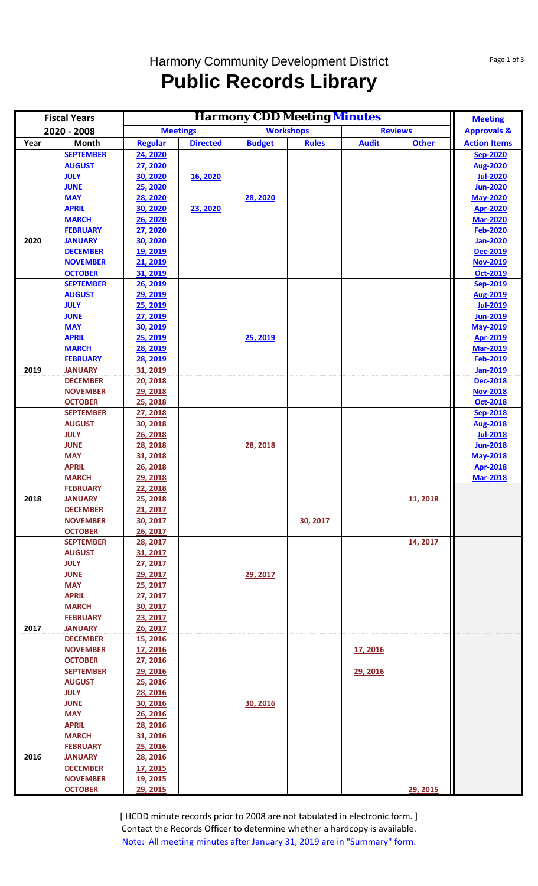## Harmony Community Development District **Public Records Library**

| <b>Fiscal Years</b> |                                    |                      | <b>Meeting</b>  |                                                        |              |                |              |                                    |
|---------------------|------------------------------------|----------------------|-----------------|--------------------------------------------------------|--------------|----------------|--------------|------------------------------------|
| 2020 - 2008         |                                    | <b>Meetings</b>      |                 | <b>Harmony CDD Meeting Minutes</b><br><b>Workshops</b> |              | <b>Reviews</b> |              | <b>Approvals &amp;</b>             |
| Year                | Month                              | <b>Regular</b>       | <b>Directed</b> | <b>Budget</b>                                          | <b>Rules</b> | <b>Audit</b>   | <b>Other</b> | <b>Action Items</b>                |
|                     | <b>SEPTEMBER</b>                   | 24, 2020             |                 |                                                        |              |                |              | <b>Sep-2020</b>                    |
|                     | <b>AUGUST</b>                      | 27, 2020             |                 |                                                        |              |                |              | <b>Aug-2020</b>                    |
|                     | <b>JULY</b>                        | 30, 2020             | 16, 2020        |                                                        |              |                |              | <b>Jul-2020</b>                    |
|                     | <b>JUNE</b>                        | 25, 2020             |                 |                                                        |              |                |              | <b>Jun-2020</b>                    |
|                     | <b>MAY</b>                         | 28, 2020             |                 | 28, 2020                                               |              |                |              | <b>May-2020</b>                    |
|                     | <b>APRIL</b>                       | 30, 2020             | 23, 2020        |                                                        |              |                |              | <b>Apr-2020</b>                    |
|                     | <b>MARCH</b>                       | 26, 2020             |                 |                                                        |              |                |              | <b>Mar-2020</b>                    |
|                     | <b>FEBRUARY</b>                    | 27, 2020             |                 |                                                        |              |                |              | <b>Feb-2020</b>                    |
| 2020                | <b>JANUARY</b>                     | 30, 2020             |                 |                                                        |              |                |              | <b>Jan-2020</b>                    |
|                     | <b>DECEMBER</b><br><b>NOVEMBER</b> | 19, 2019<br>21, 2019 |                 |                                                        |              |                |              | <b>Dec-2019</b><br><b>Nov-2019</b> |
|                     | <b>OCTOBER</b>                     | 31, 2019             |                 |                                                        |              |                |              | Oct-2019                           |
|                     | <b>SEPTEMBER</b>                   | 26, 2019             |                 |                                                        |              |                |              | Sep-2019                           |
|                     | <b>AUGUST</b>                      | 29, 2019             |                 |                                                        |              |                |              | <b>Aug-2019</b>                    |
|                     | <b>JULY</b>                        | 25, 2019             |                 |                                                        |              |                |              | <b>Jul-2019</b>                    |
|                     | <b>JUNE</b>                        | 27, 2019             |                 |                                                        |              |                |              | <b>Jun-2019</b>                    |
|                     | <b>MAY</b>                         | 30, 2019             |                 |                                                        |              |                |              | <b>May-2019</b>                    |
|                     | <b>APRIL</b>                       | 25, 2019             |                 | 25, 2019                                               |              |                |              | <b>Apr-2019</b>                    |
|                     | <b>MARCH</b>                       | 28, 2019             |                 |                                                        |              |                |              | <b>Mar-2019</b>                    |
|                     | <b>FEBRUARY</b>                    | 28, 2019             |                 |                                                        |              |                |              | Feb-2019                           |
| 2019                | <b>JANUARY</b>                     | 31, 2019             |                 |                                                        |              |                |              | <b>Jan-2019</b>                    |
|                     | <b>DECEMBER</b>                    | 20, 2018             |                 |                                                        |              |                |              | Dec-2018                           |
|                     | <b>NOVEMBER</b>                    | 29, 2018             |                 |                                                        |              |                |              | <b>Nov-2018</b>                    |
|                     | <b>OCTOBER</b>                     | 25, 2018             |                 |                                                        |              |                |              | <b>Oct-2018</b>                    |
|                     | <b>SEPTEMBER</b>                   | 27, 2018             |                 |                                                        |              |                |              | Sep-2018                           |
|                     | <b>AUGUST</b>                      | 30, 2018             |                 |                                                        |              |                |              | <b>Aug-2018</b>                    |
|                     | <b>JULY</b>                        | 26, 2018             |                 |                                                        |              |                |              | <b>Jul-2018</b>                    |
|                     | <b>JUNE</b>                        | 28, 2018             |                 | 28, 2018                                               |              |                |              | <b>Jun-2018</b>                    |
|                     | <b>MAY</b><br><b>APRIL</b>         | 31, 2018             |                 |                                                        |              |                |              | <b>May-2018</b>                    |
|                     | <b>MARCH</b>                       | 26, 2018<br>29, 2018 |                 |                                                        |              |                |              | <b>Apr-2018</b><br><b>Mar-2018</b> |
|                     | <b>FEBRUARY</b>                    | 22, 2018             |                 |                                                        |              |                |              |                                    |
| 2018                | <b>JANUARY</b>                     | 25, 2018             |                 |                                                        |              |                | 11, 2018     |                                    |
|                     | <b>DECEMBER</b>                    | 21, 2017             |                 |                                                        |              |                |              |                                    |
|                     | <b>NOVEMBER</b>                    | 30, 2017             |                 |                                                        | 30, 2017     |                |              |                                    |
|                     | <b>OCTOBER</b>                     | 26, 2017             |                 |                                                        |              |                |              |                                    |
|                     | <b>SEPTEMBER</b>                   | 28, 2017             |                 |                                                        |              |                | 14, 2017     |                                    |
|                     | <b>AUGUST</b>                      | 31, 2017             |                 |                                                        |              |                |              |                                    |
|                     | <b>JULY</b>                        | 27, 2017             |                 |                                                        |              |                |              |                                    |
|                     | <b>JUNE</b>                        | 29, 2017             |                 | 29, 2017                                               |              |                |              |                                    |
|                     | <b>MAY</b>                         | 25, 2017             |                 |                                                        |              |                |              |                                    |
|                     | <b>APRIL</b>                       | 27, 2017             |                 |                                                        |              |                |              |                                    |
|                     | <b>MARCH</b>                       | 30, 2017             |                 |                                                        |              |                |              |                                    |
|                     | <b>FEBRUARY</b>                    | 23, 2017             |                 |                                                        |              |                |              |                                    |
| 2017                | <b>JANUARY</b>                     | 26, 2017             |                 |                                                        |              |                |              |                                    |
|                     | <b>DECEMBER</b><br><b>NOVEMBER</b> | <b>15, 2016</b>      |                 |                                                        |              |                |              |                                    |
|                     | <b>OCTOBER</b>                     | 17, 2016<br>27, 2016 |                 |                                                        |              | 17, 2016       |              |                                    |
|                     | <b>SEPTEMBER</b>                   | 29, 2016             |                 |                                                        |              | 29, 2016       |              |                                    |
|                     | <b>AUGUST</b>                      | 25, 2016             |                 |                                                        |              |                |              |                                    |
|                     | <b>JULY</b>                        | 28, 2016             |                 |                                                        |              |                |              |                                    |
|                     | <b>JUNE</b>                        | 30, 2016             |                 | 30, 2016                                               |              |                |              |                                    |
|                     | <b>MAY</b>                         | 26, 2016             |                 |                                                        |              |                |              |                                    |
|                     | <b>APRIL</b>                       | 28, 2016             |                 |                                                        |              |                |              |                                    |
|                     | <b>MARCH</b>                       | 31, 2016             |                 |                                                        |              |                |              |                                    |
|                     | <b>FEBRUARY</b>                    | 25, 2016             |                 |                                                        |              |                |              |                                    |
| 2016                | <b>JANUARY</b>                     | 28, 2016             |                 |                                                        |              |                |              |                                    |
|                     | <b>DECEMBER</b>                    | <u>17, 2015</u>      |                 |                                                        |              |                |              |                                    |
|                     | <b>NOVEMBER</b>                    | <u>19, 2015</u>      |                 |                                                        |              |                |              |                                    |
|                     | <b>OCTOBER</b>                     | 29, 2015             |                 |                                                        |              |                | 29, 2015     |                                    |

[ HCDD minute records prior to 2008 are not tabulated in electronic form. ] Contact the Records Officer to determine whether a hardcopy is available. Note: All meeting minutes after January 31, 2019 are in "Summary" form.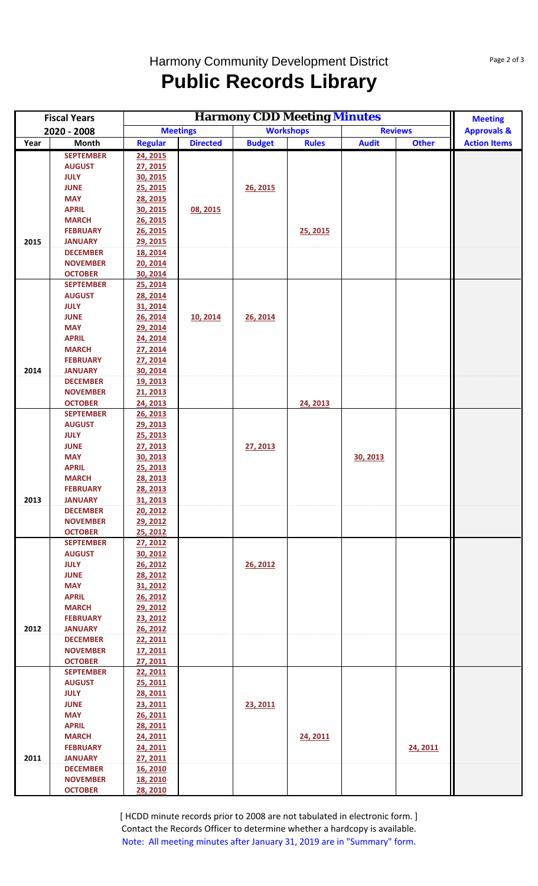## Harmony Community Development District **Public Records Library**

| <b>Fiscal Years</b> |                              |                      | <b>Meeting</b>  |                  |              |                                                      |              |                        |
|---------------------|------------------------------|----------------------|-----------------|------------------|--------------|------------------------------------------------------|--------------|------------------------|
| 2020 - 2008         |                              | <b>Meetings</b>      |                 | <b>Workshops</b> |              | <b>Harmony CDD Meeting Minutes</b><br><b>Reviews</b> |              | <b>Approvals &amp;</b> |
| Year                | Month                        | <b>Regular</b>       | <b>Directed</b> | <b>Budget</b>    | <b>Rules</b> | <b>Audit</b>                                         | <b>Other</b> | <b>Action Items</b>    |
|                     | <b>SEPTEMBER</b>             | 24, 2015             |                 |                  |              |                                                      |              |                        |
|                     | <b>AUGUST</b>                | 27, 2015             |                 |                  |              |                                                      |              |                        |
|                     | <b>JULY</b>                  | 30, 2015             |                 |                  |              |                                                      |              |                        |
|                     | <b>JUNE</b>                  | 25, 2015             |                 | 26, 2015         |              |                                                      |              |                        |
|                     | <b>MAY</b>                   | 28, 2015             |                 |                  |              |                                                      |              |                        |
|                     | <b>APRIL</b><br><b>MARCH</b> | 30, 2015<br>26, 2015 | 08, 2015        |                  |              |                                                      |              |                        |
|                     | <b>FEBRUARY</b>              | 26, 2015             |                 |                  | 25, 2015     |                                                      |              |                        |
| 2015                | <b>JANUARY</b>               | 29, 2015             |                 |                  |              |                                                      |              |                        |
|                     | <b>DECEMBER</b>              | 18, 2014             |                 |                  |              |                                                      |              |                        |
|                     | <b>NOVEMBER</b>              | 20, 2014             |                 |                  |              |                                                      |              |                        |
|                     | <b>OCTOBER</b>               | 30, 2014             |                 |                  |              |                                                      |              |                        |
|                     | <b>SEPTEMBER</b>             | 25, 2014             |                 |                  |              |                                                      |              |                        |
|                     | <b>AUGUST</b>                | 28, 2014             |                 |                  |              |                                                      |              |                        |
|                     | <b>JULY</b>                  | 31, 2014             |                 |                  |              |                                                      |              |                        |
|                     | <b>JUNE</b>                  | 26, 2014             | 10, 2014        | 26, 2014         |              |                                                      |              |                        |
|                     | <b>MAY</b>                   | 29, 2014             |                 |                  |              |                                                      |              |                        |
|                     | <b>APRIL</b><br><b>MARCH</b> | 24, 2014<br>27, 2014 |                 |                  |              |                                                      |              |                        |
|                     | <b>FEBRUARY</b>              | 27, 2014             |                 |                  |              |                                                      |              |                        |
| 2014                | <b>JANUARY</b>               | 30, 2014             |                 |                  |              |                                                      |              |                        |
|                     | <b>DECEMBER</b>              | 19, 2013             |                 |                  |              |                                                      |              |                        |
|                     | <b>NOVEMBER</b>              | 21, 2013             |                 |                  |              |                                                      |              |                        |
|                     | <b>OCTOBER</b>               | 24, 2013             |                 |                  | 24, 2013     |                                                      |              |                        |
|                     | <b>SEPTEMBER</b>             | 26, 2013             |                 |                  |              |                                                      |              |                        |
|                     | <b>AUGUST</b>                | 29, 2013             |                 |                  |              |                                                      |              |                        |
|                     | <b>JULY</b>                  | 25, 2013             |                 |                  |              |                                                      |              |                        |
|                     | <b>JUNE</b>                  | 27, 2013             |                 | 27, 2013         |              |                                                      |              |                        |
|                     | <b>MAY</b><br><b>APRIL</b>   | 30, 2013<br>25, 2013 |                 |                  |              | 30, 2013                                             |              |                        |
|                     | <b>MARCH</b>                 | 28, 2013             |                 |                  |              |                                                      |              |                        |
|                     | <b>FEBRUARY</b>              | 28, 2013             |                 |                  |              |                                                      |              |                        |
| 2013                | <b>JANUARY</b>               | 31, 2013             |                 |                  |              |                                                      |              |                        |
|                     | <b>DECEMBER</b>              | 20, 2012             |                 |                  |              |                                                      |              |                        |
|                     | <b>NOVEMBER</b>              | 29, 2012             |                 |                  |              |                                                      |              |                        |
|                     | <b>OCTOBER</b>               | 25, 2012             |                 |                  |              |                                                      |              |                        |
|                     | <b>SEPTEMBER</b>             | 27, 2012             |                 |                  |              |                                                      |              |                        |
|                     | <b>AUGUST</b>                | 30, 2012             |                 |                  |              |                                                      |              |                        |
|                     | <b>JULY</b>                  | 26, 2012             |                 | 26, 2012         |              |                                                      |              |                        |
|                     | <b>JUNE</b><br><b>MAY</b>    | 28, 2012<br>31, 2012 |                 |                  |              |                                                      |              |                        |
|                     | <b>APRIL</b>                 | 26, 2012             |                 |                  |              |                                                      |              |                        |
|                     | <b>MARCH</b>                 | 29, 2012             |                 |                  |              |                                                      |              |                        |
|                     | <b>FEBRUARY</b>              | 23, 2012             |                 |                  |              |                                                      |              |                        |
| 2012                | <b>JANUARY</b>               | 26, 2012             |                 |                  |              |                                                      |              |                        |
|                     | <b>DECEMBER</b>              | 22, 2011             |                 |                  |              |                                                      |              |                        |
|                     | <b>NOVEMBER</b>              | 17, 2011             |                 |                  |              |                                                      |              |                        |
|                     | <b>OCTOBER</b>               | 27, 2011             |                 |                  |              |                                                      |              |                        |
|                     | <b>SEPTEMBER</b>             | 22, 2011             |                 |                  |              |                                                      |              |                        |
|                     | <b>AUGUST</b><br><b>JULY</b> | 25, 2011<br>28, 2011 |                 |                  |              |                                                      |              |                        |
|                     | <b>JUNE</b>                  | 23, 2011             |                 | 23, 2011         |              |                                                      |              |                        |
|                     | <b>MAY</b>                   | 26, 2011             |                 |                  |              |                                                      |              |                        |
|                     | <b>APRIL</b>                 | 28, 2011             |                 |                  |              |                                                      |              |                        |
|                     | <b>MARCH</b>                 | 24, 2011             |                 |                  | 24, 2011     |                                                      |              |                        |
|                     | <b>FEBRUARY</b>              | 24, 2011             |                 |                  |              |                                                      | 24, 2011     |                        |
| 2011                | <b>JANUARY</b>               | 27, 2011             |                 |                  |              |                                                      |              |                        |
|                     | <b>DECEMBER</b>              | 16, 2010             |                 |                  |              |                                                      |              |                        |
|                     | <b>NOVEMBER</b>              | 18, 2010             |                 |                  |              |                                                      |              |                        |
|                     | <b>OCTOBER</b>               | 28, 2010             |                 |                  |              |                                                      |              |                        |

[ HCDD minute records prior to 2008 are not tabulated in electronic form. ] Contact the Records Officer to determine whether a hardcopy is available. Note: All meeting minutes after January 31, 2019 are in "Summary" form.